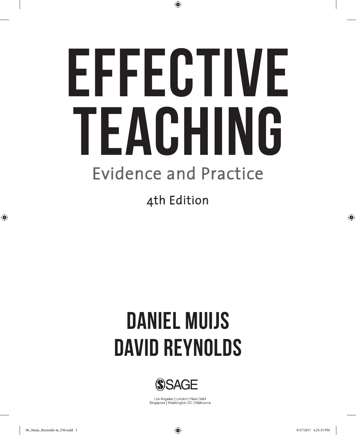# Evidence and Practice EFFECTIVE TEACHING

⊕

4th Edition

# Daniel Muijs David Reynolds



Los Angeles | London | New Delhi Singapore | Washington DC | Melbourne

⊕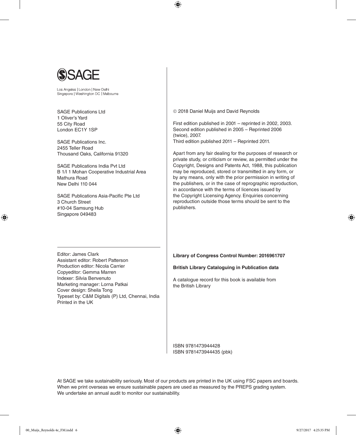

Los Angeles | London | New Delhi Singapore | Washington DC | Melbourne

SAGE Publications Ltd 1 Oliver's Yard 55 City Road London EC1Y 1SP

SAGE Publications Inc. 2455 Teller Road Thousand Oaks, California 91320

SAGE Publications India Pvt Ltd B 1/I 1 Mohan Cooperative Industrial Area Mathura Road New Delhi 110 044

SAGE Publications Asia-Pacific Pte Ltd 3 Church Street #10-04 Samsung Hub Singapore 049483

2018 Daniel Muijs and David Reynolds

⊕

First edition published in 2001 – reprinted in 2002, 2003. Second edition published in 2005 – Reprinted 2006 (twice), 2007. Third edition published 2011 – Reprinted 2011.

Apart from any fair dealing for the purposes of research or private study, or criticism or review, as permitted under the Copyright, Designs and Patents Act, 1988, this publication may be reproduced, stored or transmitted in any form, or by any means, only with the prior permission in writing of the publishers, or in the case of reprographic reproduction, in accordance with the terms of licences issued by the Copyright Licensing Agency. Enquiries concerning reproduction outside those terms should be sent to the publishers.

Editor: James Clark Assistant editor: Robert Patterson Production editor: Nicola Carrier Copyeditor: Gemma Marren Indexer: Silvia Benvenuto Marketing manager: Lorna Patkai Cover design: Sheila Tong Typeset by: C&M Digitals (P) Ltd, Chennai, India Printed in the UK

**Library of Congress Control Number: 2016961707**

**British Library Cataloguing in Publication data**

A catalogue record for this book is available from the British Library

ISBN 9781473944428 ISBN 9781473944435 (pbk)

At SAGE we take sustainability seriously. Most of our products are printed in the UK using FSC papers and boards. When we print overseas we ensure sustainable papers are used as measured by the PREPS grading system. We undertake an annual audit to monitor our sustainability.

♠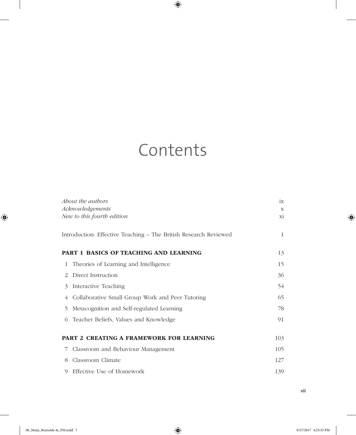# Contents

 $\bigoplus$ 

| About the authors<br>Acknowledgements<br>New to this fourth edition |                                                                  | ix  |
|---------------------------------------------------------------------|------------------------------------------------------------------|-----|
|                                                                     |                                                                  | X   |
|                                                                     |                                                                  | хi  |
|                                                                     | Introduction: Effective Teaching - The British Research Reviewed | 1   |
|                                                                     | <b>PART 1 BASICS OF TEACHING AND LEARNING</b>                    | 13  |
| 1                                                                   | Theories of Learning and Intelligence                            | 15  |
| $\mathcal{L}$                                                       | Direct Instruction                                               | 36  |
| 3                                                                   | Interactive Teaching                                             | 54  |
| 4                                                                   | Collaborative Small Group Work and Peer Tutoring                 | 65  |
| 5                                                                   | Metacognition and Self-regulated Learning                        | 78  |
| 6                                                                   | Teacher Beliefs, Values and Knowledge                            | 91  |
|                                                                     | <b>PART 2 CREATING A FRAMEWORK FOR LEARNING</b>                  | 103 |
| 7                                                                   | Classroom and Behaviour Management                               | 105 |
| 8                                                                   | Classroom Climate                                                | 127 |
| 0                                                                   | Effective Use of Homework                                        | 139 |

 $\overline{\phantom{a}}$ 

 $\bigoplus$ 

 $\overline{\phantom{a}}$ 

 $\bigoplus$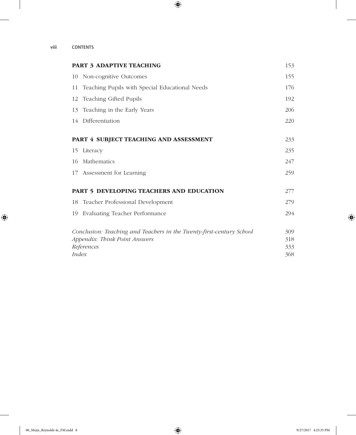$\overline{\phantom{a}}$ 

 $\bigoplus$ 

| <b>PART 3 ADAPTIVE TEACHING</b>                                      |                                                | 153 |
|----------------------------------------------------------------------|------------------------------------------------|-----|
| 10                                                                   | Non-cognitive Outcomes                         | 155 |
| 11                                                                   | Teaching Pupils with Special Educational Needs | 176 |
| 12                                                                   | Teaching Gifted Pupils                         | 192 |
| 13                                                                   | Teaching in the Early Years                    | 206 |
|                                                                      | 14 Differentiation                             | 220 |
|                                                                      |                                                |     |
| PART 4 SUBJECT TEACHING AND ASSESSMENT                               |                                                | 233 |
| 15                                                                   | Literacy                                       | 235 |
| 16                                                                   | Mathematics                                    | 247 |
|                                                                      | 17 Assessment for Learning                     | 259 |
|                                                                      |                                                |     |
| <b>PART 5 DEVELOPING TEACHERS AND EDUCATION</b>                      |                                                |     |
| 18                                                                   | Teacher Professional Development               | 279 |
| 19                                                                   | Evaluating Teacher Performance                 | 294 |
|                                                                      |                                                |     |
| Conclusion: Teaching and Teachers in the Twenty-first-century School |                                                | 309 |
| Appendix: Think Point Answers                                        |                                                | 318 |
| References                                                           |                                                | 333 |
| <i>Index</i>                                                         |                                                | 368 |

 $\bigoplus$ 

 $\overline{\phantom{a}}$ 

 $\overline{\phantom{a}}$ 

 $\bigoplus$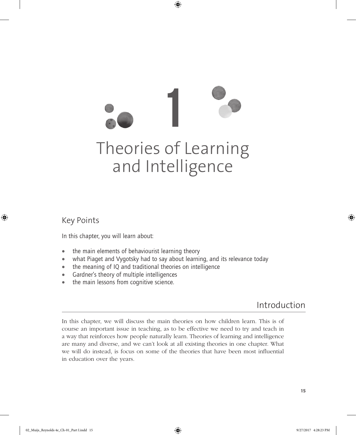⊕

# Key Points

⊕

In this chapter, you will learn about:

- the main elements of behaviourist learning theory
- what Piaget and Vygotsky had to say about learning, and its relevance today
- the meaning of IQ and traditional theories on intelligence
- Gardner's theory of multiple intelligences
- the main lessons from cognitive science.

# Introduction

In this chapter, we will discuss the main theories on how children learn. This is of course an important issue in teaching, as to be effective we need to try and teach in a way that reinforces how people naturally learn. Theories of learning and intelligence are many and diverse, and we can't look at all existing theories in one chapter. What we will do instead, is focus on some of the theories that have been most influential in education over the years.

15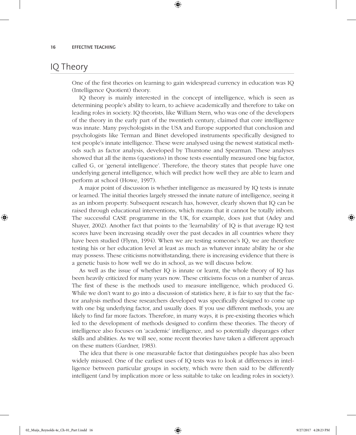# IQ Theory

⊕

One of the first theories on learning to gain widespread currency in education was IQ (Intelligence Quotient) theory.

⊕

IQ theory is mainly interested in the concept of intelligence, which is seen as determining people's ability to learn, to achieve academically and therefore to take on leading roles in society. IQ theorists, like William Stern, who was one of the developers of the theory in the early part of the twentieth century, claimed that core intelligence was innate. Many psychologists in the USA and Europe supported that conclusion and psychologists like Terman and Binet developed instruments specifically designed to test people's innate intelligence. These were analysed using the newest statistical methods such as factor analysis, developed by Thurstone and Spearman. These analyses showed that all the items (questions) in those tests essentially measured one big factor, called G, or 'general intelligence'. Therefore, the theory states that people have one underlying general intelligence, which will predict how well they are able to learn and perform at school (Howe, 1997).

A major point of discussion is whether intelligence as measured by IQ tests is innate or learned. The initial theories largely stressed the innate nature of intelligence, seeing it as an inborn property. Subsequent research has, however, clearly shown that IQ can be raised through educational interventions, which means that it cannot be totally inborn. The successful CASE programme in the UK, for example, does just that (Adey and Shayer, 2002). Another fact that points to the 'learnability' of IQ is that average IQ test scores have been increasing steadily over the past decades in all countries where they have been studied (Flynn, 1994). When we are testing someone's IQ, we are therefore testing his or her education level at least as much as whatever innate ability he or she may possess. These criticisms notwithstanding, there is increasing evidence that there is a genetic basis to how well we do in school, as we will discuss below.

As well as the issue of whether IQ is innate or learnt, the whole theory of IQ has been heavily criticized for many years now. These criticisms focus on a number of areas. The first of these is the methods used to measure intelligence, which produced G. While we don't want to go into a discussion of statistics here, it is fair to say that the factor analysis method these researchers developed was specifically designed to come up with one big underlying factor, and usually does. If you use different methods, you are likely to find far more factors. Therefore, in many ways, it is pre-existing theories which led to the development of methods designed to confirm these theories. The theory of intelligence also focuses on 'academic' intelligence, and so potentially disparages other skills and abilities. As we will see, some recent theories have taken a different approach on these matters (Gardner, 1983).

The idea that there is one measurable factor that distinguishes people has also been widely misused. One of the earliest uses of IQ tests was to look at differences in intelligence between particular groups in society, which were then said to be differently intelligent (and by implication more or less suitable to take on leading roles in society).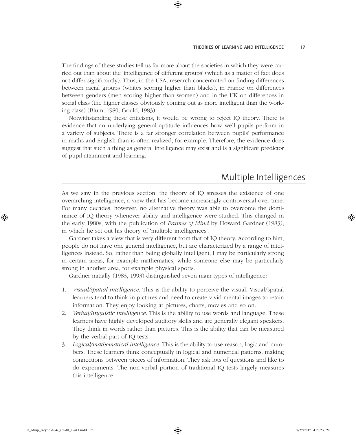The findings of these studies tell us far more about the societies in which they were carried out than about the 'intelligence of different groups' (which as a matter of fact does not differ significantly). Thus, in the USA, research concentrated on finding differences between racial groups (whites scoring higher than blacks), in France on differences between genders (men scoring higher than women) and in the UK on differences in social class (the higher classes obviously coming out as more intelligent than the working class) (Blum, 1980; Gould, 1983).

⊕

Notwithstanding these criticisms, it would be wrong to reject IQ theory. There is evidence that an underlying general aptitude influences how well pupils perform in a variety of subjects. There is a far stronger correlation between pupils' performance in maths and English than is often realized, for example. Therefore, the evidence does suggest that such a thing as general intelligence may exist and is a significant predictor of pupil attainment and learning.

# Multiple Intelligences

As we saw in the previous section, the theory of IQ stresses the existence of one overarching intelligence, a view that has become increasingly controversial over time. For many decades, however, no alternative theory was able to overcome the dominance of IQ theory whenever ability and intelligence were studied. This changed in the early 1980s, with the publication of *Frames of Mind* by Howard Gardner (1983), in which he set out his theory of 'multiple intelligences'.

Gardner takes a view that is very different from that of IQ theory. According to him, people do not have one general intelligence, but are characterized by a range of intelligences instead. So, rather than being globally intelligent, I may be particularly strong in certain areas, for example mathematics, while someone else may be particularly strong in another area, for example physical sports.

Gardner initially (1983, 1993) distinguished seven main types of intelligence:

- 1. *Visual/spatial intelligence*. This is the ability to perceive the visual. Visual/spatial learners tend to think in pictures and need to create vivid mental images to retain information. They enjoy looking at pictures, charts, movies and so on.
- 2. *Verbal/linguistic intelligence*. This is the ability to use words and language. These learners have highly developed auditory skills and are generally elegant speakers. They think in words rather than pictures. This is the ability that can be measured by the verbal part of IQ tests.
- 3. *Logical/mathematical intelligence*. This is the ability to use reason, logic and numbers. These learners think conceptually in logical and numerical patterns, making connections between pieces of information. They ask lots of questions and like to do experiments. The non-verbal portion of traditional IQ tests largely measures this intelligence.

02\_Muijs\_Reynolds 4e\_Ch-01\_Part I.indd 17 9/27/2017 4:28:23 PM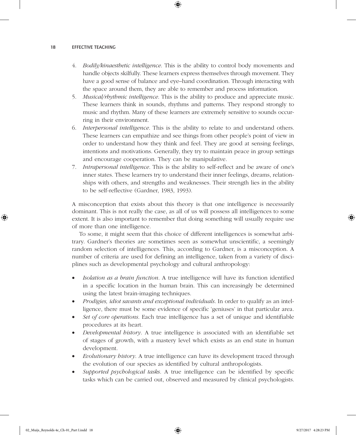4. *Bodily/kinaesthetic intelligence*. This is the ability to control body movements and handle objects skilfully. These learners express themselves through movement. They have a good sense of balance and eye–hand coordination. Through interacting with the space around them, they are able to remember and process information.

⊕

- 5. *Musical/rhythmic intelligence*. This is the ability to produce and appreciate music. These learners think in sounds, rhythms and patterns. They respond strongly to music and rhythm. Many of these learners are extremely sensitive to sounds occurring in their environment.
- 6. *Interpersonal intelligence*. This is the ability to relate to and understand others. These learners can empathize and see things from other people's point of view in order to understand how they think and feel. They are good at sensing feelings, intentions and motivations. Generally, they try to maintain peace in group settings and encourage cooperation. They can be manipulative.
- 7. *Intrapersonal intelligence*. This is the ability to self-reflect and be aware of one's inner states. These learners try to understand their inner feelings, dreams, relationships with others, and strengths and weaknesses. Their strength lies in the ability to be self-reflective (Gardner, 1983, 1993).

A misconception that exists about this theory is that one intelligence is necessarily dominant. This is not really the case, as all of us will possess all intelligences to some extent. It is also important to remember that doing something will usually require use of more than one intelligence.

To some, it might seem that this choice of different intelligences is somewhat arbitrary. Gardner's theories are sometimes seen as somewhat unscientific, a seemingly random selection of intelligences. This, according to Gardner, is a misconception. A number of criteria are used for defining an intelligence, taken from a variety of disciplines such as developmental psychology and cultural anthropology:

- *Isolation as a brain function*. A true intelligence will have its function identified in a specific location in the human brain. This can increasingly be determined using the latest brain-imaging techniques.
- *Prodigies, idiot savants and exceptional individuals*. In order to qualify as an intelligence, there must be some evidence of specific 'geniuses' in that particular area.
- *Set of core operations*. Each true intelligence has a set of unique and identifiable procedures at its heart.
- *Developmental history*. A true intelligence is associated with an identifiable set of stages of growth, with a mastery level which exists as an end state in human development.
- *Evolutionary history*. A true intelligence can have its development traced through the evolution of our species as identified by cultural anthropologists.
- *Supported psychological tasks*. A true intelligence can be identified by specific tasks which can be carried out, observed and measured by clinical psychologists.

02\_Muijs\_Reynolds 4e\_Ch-01\_Part I.indd 18 9/27/2017 4:28:23 PM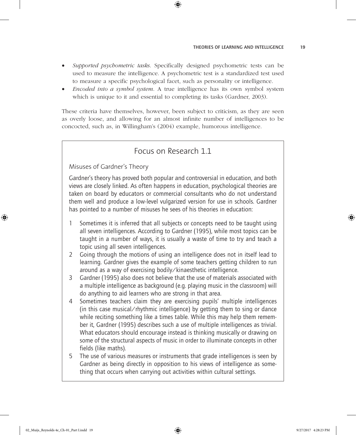• *Supported psychometric tasks*. Specifically designed psychometric tests can be used to measure the intelligence. A psychometric test is a standardized test used to measure a specific psychological facet, such as personality or intelligence.

⊕

• *Encoded into a symbol system*. A true intelligence has its own symbol system which is unique to it and essential to completing its tasks (Gardner, 2003).

These criteria have themselves, however, been subject to criticism, as they are seen as overly loose, and allowing for an almost infinite number of intelligences to be concocted, such as, in Willingham's (2004) example, humorous intelligence.

# Focus on Research 1.1

Misuses of Gardner's Theory

Gardner's theory has proved both popular and controversial in education, and both views are closely linked. As often happens in education, psychological theories are taken on board by educators or commercial consultants who do not understand them well and produce a low-level vulgarized version for use in schools. Gardner has pointed to a number of misuses he sees of his theories in education:

- Sometimes it is inferred that all subjects or concepts need to be taught using all seven intelligences. According to Gardner (1995), while most topics can be taught in a number of ways, it is usually a waste of time to try and teach a topic using all seven intelligences.
- 2 Going through the motions of using an intelligence does not in itself lead to learning. Gardner gives the example of some teachers getting children to run around as a way of exercising bodily/kinaesthetic intelligence.
- 3 Gardner (1995) also does not believe that the use of materials associated with a multiple intelligence as background (e.g. playing music in the classroom) will do anything to aid learners who are strong in that area.
- 4 Sometimes teachers claim they are exercising pupils' multiple intelligences (in this case musical/rhythmic intelligence) by getting them to sing or dance while reciting something like a times table. While this may help them remember it, Gardner (1995) describes such a use of multiple intelligences as trivial. What educators should encourage instead is thinking musically or drawing on some of the structural aspects of music in order to illuminate concepts in other fields (like maths).
- 5 The use of various measures or instruments that grade intelligences is seen by Gardner as being directly in opposition to his views of intelligence as something that occurs when carrying out activities within cultural settings.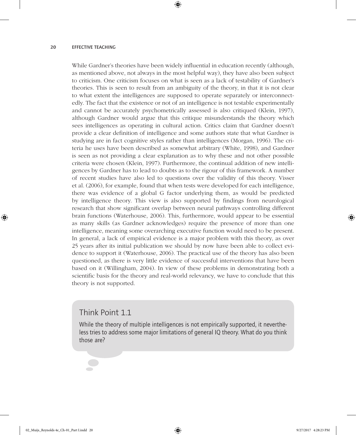While Gardner's theories have been widely influential in education recently (although, as mentioned above, not always in the most helpful way), they have also been subject to criticism. One criticism focuses on what is seen as a lack of testability of Gardner's theories. This is seen to result from an ambiguity of the theory, in that it is not clear to what extent the intelligences are supposed to operate separately or interconnectedly. The fact that the existence or not of an intelligence is not testable experimentally and cannot be accurately psychometrically assessed is also critiqued (Klein, 1997), although Gardner would argue that this critique misunderstands the theory which sees intelligences as operating in cultural action. Critics claim that Gardner doesn't provide a clear definition of intelligence and some authors state that what Gardner is studying are in fact cognitive styles rather than intelligences (Morgan, 1996). The criteria he uses have been described as somewhat arbitrary (White, 1998), and Gardner is seen as not providing a clear explanation as to why these and not other possible criteria were chosen (Klein, 1997). Furthermore, the continual addition of new intelligences by Gardner has to lead to doubts as to the rigour of this framework. A number of recent studies have also led to questions over the validity of this theory. Visser et al. (2006), for example, found that when tests were developed for each intelligence, there was evidence of a global G factor underlying them, as would be predicted by intelligence theory. This view is also supported by findings from neurological research that show significant overlap between neural pathways controlling different brain functions (Waterhouse, 2006). This, furthermore, would appear to be essential as many skills (as Gardner acknowledges) require the presence of more than one intelligence, meaning some overarching executive function would need to be present. In general, a lack of empirical evidence is a major problem with this theory, as over 25 years after its initial publication we should by now have been able to collect evidence to support it (Waterhouse, 2006). The practical use of the theory has also been questioned, as there is very little evidence of successful interventions that have been based on it (Willingham, 2004). In view of these problems in demonstrating both a scientific basis for the theory and real-world relevancy, we have to conclude that this theory is not supported.

⊕

#### Think Point 1.1

While the theory of multiple intelligences is not empirically supported, it nevertheless tries to address some major limitations of general IQ theory. What do you think those are?

♠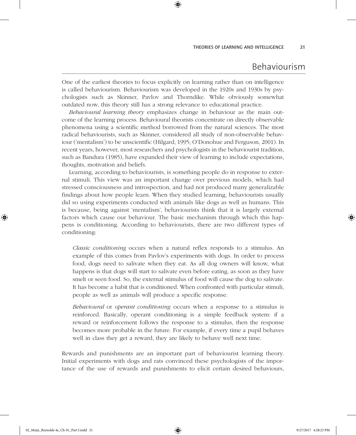# Behaviourism

One of the earliest theories to focus explicitly on learning rather than on intelligence is called behaviourism. Behaviourism was developed in the 1920s and 1930s by psychologists such as Skinner, Pavlov and Thorndike. While obviously somewhat outdated now, this theory still has a strong relevance to educational practice.

⊕

*Behavioural learning theory* emphasizes change in behaviour as the main outcome of the learning process. Behavioural theorists concentrate on directly observable phenomena using a scientific method borrowed from the natural sciences. The most radical behaviourists, such as Skinner, considered all study of non-observable behaviour ('mentalism') to be unscientific (Hilgard, 1995; O'Donohue and Ferguson, 2001). In recent years, however, most researchers and psychologists in the behaviourist tradition, such as Bandura (1985), have expanded their view of learning to include expectations, thoughts, motivation and beliefs.

Learning, according to behaviourists, is something people do in response to external stimuli. This view was an important change over previous models, which had stressed consciousness and introspection, and had not produced many generalizable findings about how people learn. When they studied learning, behaviourists usually did so using experiments conducted with animals like dogs as well as humans. This is because, being against 'mentalism', behaviourists think that it is largely external factors which cause our behaviour. The basic mechanism through which this happens is conditioning. According to behaviourists, there are two different types of conditioning:

*Classic conditioning* occurs when a natural reflex responds to a stimulus. An example of this comes from Pavlov's experiments with dogs. In order to process food, dogs need to salivate when they eat. As all dog owners will know, what happens is that dogs will start to salivate even before eating, as soon as they have smelt or seen food. So, the external stimulus of food will cause the dog to salivate. It has become a habit that is conditioned. When confronted with particular stimuli, people as well as animals will produce a specific response.

*Behavioural* or *operant conditioning* occurs when a response to a stimulus is reinforced. Basically, operant conditioning is a simple feedback system: if a reward or reinforcement follows the response to a stimulus, then the response becomes more probable in the future. For example, if every time a pupil behaves well in class they get a reward, they are likely to behave well next time.

Rewards and punishments are an important part of behaviourist learning theory. Initial experiments with dogs and rats convinced these psychologists of the importance of the use of rewards and punishments to elicit certain desired behaviours,

♠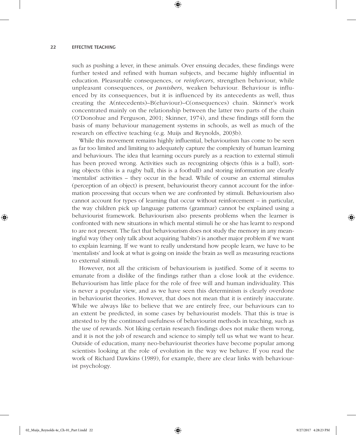such as pushing a lever, in these animals. Over ensuing decades, these findings were further tested and refined with human subjects, and became highly influential in education. Pleasurable consequences, or *reinforcers*, strengthen behaviour, while unpleasant consequences, or *punishers*, weaken behaviour. Behaviour is influenced by its consequences, but it is influenced by its antecedents as well, thus creating the A(ntecedents)–B(ehaviour)–C(onsequences) chain. Skinner's work concentrated mainly on the relationship between the latter two parts of the chain (O'Donohue and Ferguson, 2001; Skinner, 1974), and these findings still form the basis of many behaviour management systems in schools, as well as much of the research on effective teaching (e.g. Muijs and Reynolds, 2003b).

⊕

While this movement remains highly influential, behaviourism has come to be seen as far too limited and limiting to adequately capture the complexity of human learning and behaviours. The idea that learning occurs purely as a reaction to external stimuli has been proved wrong. Activities such as recognizing objects (this is a ball), sorting objects (this is a rugby ball, this is a football) and storing information are clearly 'mentalist' activities – they occur in the head. While of course an external stimulus (perception of an object) is present, behaviourist theory cannot account for the information processing that occurs when we are confronted by stimuli. Behaviourism also cannot account for types of learning that occur without reinforcement – in particular, the way children pick up language patterns (grammar) cannot be explained using a behaviourist framework. Behaviourism also presents problems when the learner is confronted with new situations in which mental stimuli he or she has learnt to respond to are not present. The fact that behaviourism does not study the memory in any meaningful way (they only talk about acquiring 'habits') is another major problem if we want to explain learning. If we want to really understand how people learn, we have to be 'mentalists' and look at what is going on inside the brain as well as measuring reactions to external stimuli.

However, not all the criticism of behaviourism is justified. Some of it seems to emanate from a dislike of the findings rather than a close look at the evidence. Behaviourism has little place for the role of free will and human individuality. This is never a popular view, and as we have seen this determinism is clearly overdone in behaviourist theories. However, that does not mean that it is entirely inaccurate. While we always like to believe that we are entirely free, our behaviours can to an extent be predicted, in some cases by behaviourist models. That this is true is attested to by the continued usefulness of behaviourist methods in teaching, such as the use of rewards. Not liking certain research findings does not make them wrong, and it is not the job of research and science to simply tell us what we want to hear. Outside of education, many neo-behaviourist theories have become popular among scientists looking at the role of evolution in the way we behave. If you read the work of Richard Dawkins (1989), for example, there are clear links with behaviourist psychology.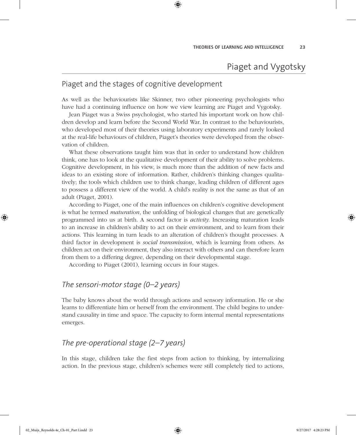# Piaget and Vygotsky

# Piaget and the stages of cognitive development

As well as the behaviourists like Skinner, two other pioneering psychologists who have had a continuing influence on how we view learning are Piaget and Vygotsky.

⊕

Jean Piaget was a Swiss psychologist, who started his important work on how children develop and learn before the Second World War. In contrast to the behaviourists, who developed most of their theories using laboratory experiments and rarely looked at the real-life behaviours of children, Piaget's theories were developed from the observation of children.

What these observations taught him was that in order to understand how children think, one has to look at the qualitative development of their ability to solve problems. Cognitive development, in his view, is much more than the addition of new facts and ideas to an existing store of information. Rather, children's thinking changes qualitatively; the tools which children use to think change, leading children of different ages to possess a different view of the world. A child's reality is not the same as that of an adult (Piaget, 2001).

According to Piaget, one of the main influences on children's cognitive development is what he termed *maturation*, the unfolding of biological changes that are genetically programmed into us at birth. A second factor is *activity.* Increasing maturation leads to an increase in children's ability to act on their environment, and to learn from their actions. This learning in turn leads to an alteration of children's thought processes. A third factor in development is *social transmission*, which is learning from others. As children act on their environment, they also interact with others and can therefore learn from them to a differing degree, depending on their developmental stage.

According to Piaget (2001), learning occurs in four stages.

### *The sensori-motor stage (0–2 years)*

The baby knows about the world through actions and sensory information. He or she learns to differentiate him or herself from the environment. The child begins to understand causality in time and space. The capacity to form internal mental representations emerges.

## *The pre-operational stage (2–7 years)*

In this stage, children take the first steps from action to thinking, by internalizing action. In the previous stage, children's schemes were still completely tied to actions,

♠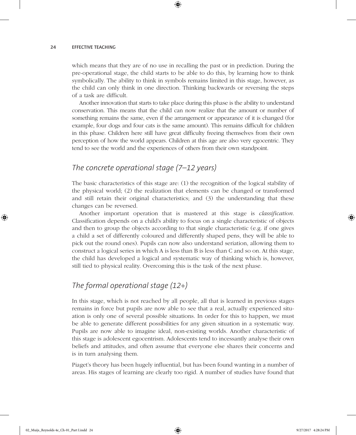which means that they are of no use in recalling the past or in prediction. During the pre-operational stage, the child starts to be able to do this, by learning how to think symbolically. The ability to think in symbols remains limited in this stage, however, as the child can only think in one direction. Thinking backwards or reversing the steps of a task are difficult.

⊕

Another innovation that starts to take place during this phase is the ability to understand conservation. This means that the child can now realize that the amount or number of something remains the same, even if the arrangement or appearance of it is changed (for example, four dogs and four cats is the same amount). This remains difficult for children in this phase. Children here still have great difficulty freeing themselves from their own perception of how the world appears. Children at this age are also very egocentric. They tend to see the world and the experiences of others from their own standpoint.

## *The concrete operational stage (7–12 years)*

The basic characteristics of this stage are: (1) the recognition of the logical stability of the physical world; (2) the realization that elements can be changed or transformed and still retain their original characteristics; and (3) the understanding that these changes can be reversed.

Another important operation that is mastered at this stage is *classification*. Classification depends on a child's ability to focus on a single characteristic of objects and then to group the objects according to that single characteristic (e.g. if one gives a child a set of differently coloured and differently shaped pens, they will be able to pick out the round ones). Pupils can now also understand seriation, allowing them to construct a logical series in which A is less than B is less than C and so on. At this stage, the child has developed a logical and systematic way of thinking which is, however, still tied to physical reality. Overcoming this is the task of the next phase.

# *The formal operational stage (12*+*)*

In this stage, which is not reached by all people, all that is learned in previous stages remains in force but pupils are now able to see that a real, actually experienced situation is only one of several possible situations. In order for this to happen, we must be able to generate different possibilities for any given situation in a systematic way. Pupils are now able to imagine ideal, non-existing worlds. Another characteristic of this stage is adolescent egocentrism. Adolescents tend to incessantly analyse their own beliefs and attitudes, and often assume that everyone else shares their concerns and is in turn analysing them.

Piaget's theory has been hugely influential, but has been found wanting in a number of areas. His stages of learning are clearly too rigid. A number of studies have found that

♠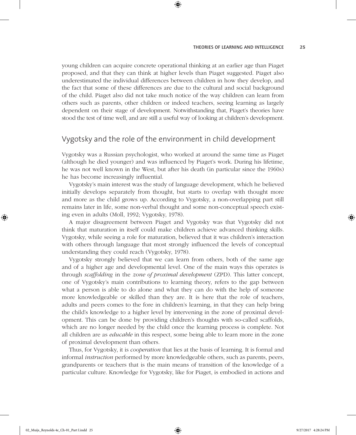young children can acquire concrete operational thinking at an earlier age than Piaget proposed, and that they can think at higher levels than Piaget suggested. Piaget also underestimated the individual differences between children in how they develop, and the fact that some of these differences are due to the cultural and social background of the child. Piaget also did not take much notice of the way children can learn from others such as parents, other children or indeed teachers, seeing learning as largely dependent on their stage of development. Notwithstanding that, Piaget's theories have stood the test of time well, and are still a useful way of looking at children's development.

⊕

#### Vygotsky and the role of the environment in child development

Vygotsky was a Russian psychologist, who worked at around the same time as Piaget (although he died younger) and was influenced by Piaget's work. During his lifetime, he was not well known in the West, but after his death (in particular since the 1960s) he has become increasingly influential.

Vygotsky's main interest was the study of language development, which he believed initially develops separately from thought, but starts to overlap with thought more and more as the child grows up. According to Vygotsky, a non-overlapping part still remains later in life, some non-verbal thought and some non-conceptual speech existing even in adults (Moll, 1992; Vygotsky, 1978).

A major disagreement between Piaget and Vygotsky was that Vygotsky did not think that maturation in itself could make children achieve advanced thinking skills. Vygotsky, while seeing a role for maturation, believed that it was children's interaction with others through language that most strongly influenced the levels of conceptual understanding they could reach (Vygotsky, 1978).

Vygotsky strongly believed that we can learn from others, both of the same age and of a higher age and developmental level. One of the main ways this operates is through *scaffolding* in the *zone of proximal development* (ZPD). This latter concept, one of Vygotsky's main contributions to learning theory, refers to the gap between what a person is able to do alone and what they can do with the help of someone more knowledgeable or skilled than they are. It is here that the role of teachers, adults and peers comes to the fore in children's learning, in that they can help bring the child's knowledge to a higher level by intervening in the zone of proximal development. This can be done by providing children's thoughts with so-called scaffolds, which are no longer needed by the child once the learning process is complete. Not all children are as *educable* in this respect, some being able to learn more in the zone of proximal development than others.

Thus, for Vygotsky, it is *cooperation* that lies at the basis of learning. It is formal and informal *instruction* performed by more knowledgeable others, such as parents, peers, grandparents or teachers that is the main means of transition of the knowledge of a particular culture. Knowledge for Vygotsky, like for Piaget, is embodied in actions and

♠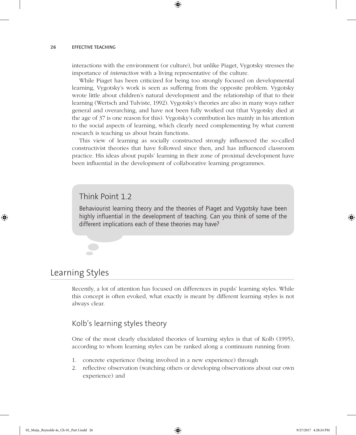interactions with the environment (or culture), but unlike Piaget, Vygotsky stresses the importance of *interaction* with a living representative of the culture.

⊕

While Piaget has been criticized for being too strongly focused on developmental learning, Vygotsky's work is seen as suffering from the opposite problem. Vygotsky wrote little about children's natural development and the relationship of that to their learning (Wertsch and Tulviste, 1992). Vygotsky's theories are also in many ways rather general and overarching, and have not been fully worked out (that Vygotsky died at the age of 37 is one reason for this). Vygotsky's contribution lies mainly in his attention to the social aspects of learning, which clearly need complementing by what current research is teaching us about brain functions.

This view of learning as socially constructed strongly influenced the so-called constructivist theories that have followed since then, and has influenced classroom practice. His ideas about pupils' learning in their zone of proximal development have been influential in the development of collaborative learning programmes.

#### Think Point 1.2

Behaviourist learning theory and the theories of Piaget and Vygotsky have been highly influential in the development of teaching. Can you think of some of the different implications each of these theories may have?

# Learning Styles

♠

Recently, a lot of attention has focused on differences in pupils' learning styles. While this concept is often evoked, what exactly is meant by different learning styles is not always clear.

# Kolb's learning styles theory

One of the most clearly elucidated theories of learning styles is that of Kolb (1995), according to whom learning styles can be ranked along a continuum running from:

- 1. concrete experience (being involved in a new experience) through
- 2. reflective observation (watching others or developing observations about our own experience) and

02\_Muijs\_Reynolds 4e\_Ch-01\_Part I.indd 26 9/27/2017 4:28:24 PM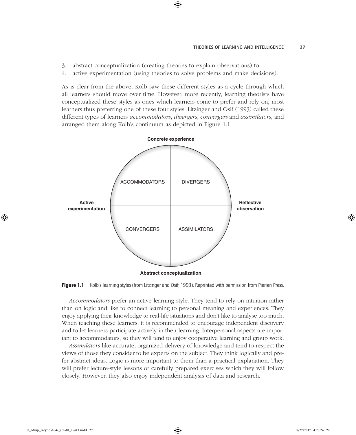- 3. abstract conceptualization (creating theories to explain observations) to
- 4. active experimentation (using theories to solve problems and make decisions).

⊕

As is clear from the above, Kolb saw these different styles as a cycle through which all learners should move over time. However, more recently, learning theorists have conceptualized these styles as ones which learners come to prefer and rely on, most learners thus preferring one of these four styles. Litzinger and Osif (1993) called these different types of learners *accommodators*, *divergers*, *convergers* and *assimilators*, and arranged them along Kolb's continuum as depicted in Figure 1.1.



**Figure 1.1** Kolb's learning styles (from Litzinger and Osif, 1993). Reprinted with permission from Pierian Press.

*Accommodators* prefer an active learning style. They tend to rely on intuition rather than on logic and like to connect learning to personal meaning and experiences. They enjoy applying their knowledge to real-life situations and don't like to analyse too much. When teaching these learners, it is recommended to encourage independent discovery and to let learners participate actively in their learning. Interpersonal aspects are important to accommodators, so they will tend to enjoy cooperative learning and group work.

*Assimilators* like accurate, organized delivery of knowledge and tend to respect the views of those they consider to be experts on the subject. They think logically and prefer abstract ideas. Logic is more important to them than a practical explanation. They will prefer lecture-style lessons or carefully prepared exercises which they will follow closely. However, they also enjoy independent analysis of data and research.

♠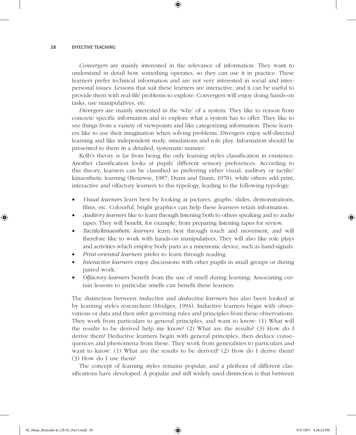*Convergers* are mainly interested in the relevance of information. They want to understand in detail how something operates, so they can use it in practice. These learners prefer technical information and are not very interested in social and interpersonal issues. Lessons that suit these learners are interactive, and it can be useful to provide them with real-life problems to explore. Convergers will enjoy doing hands-on tasks, use manipulatives, etc.

⊕

*Divergers* are mainly interested in the 'why' of a system. They like to reason from concrete specific information and to explore what a system has to offer. They like to see things from a variety of viewpoints and like categorizing information. These learners like to use their imagination when solving problems. Divergers enjoy self-directed learning and like independent study, simulations and role play. Information should be presented to them in a detailed, systematic manner.

Kolb's theory is far from being the only learning styles classification in existence. Another classification looks at pupils' different sensory preferences. According to this theory, learners can be classified as preferring either visual, auditory or tactile/ kinaesthetic learning (Benzwie, 1987; Dunn and Dunn, 1978), while others add print, interactive and olfactory learners to this typology, leading to the following typology:

- *Visual learners* learn best by looking at pictures, graphs, slides, demonstrations, films, etc. Colourful, bright graphics can help these learners retain information.
- *Auditory learners* like to learn through listening both to others speaking and to audio tapes. They will benefit, for example, from preparing listening tapes for review.
- *Tactile/kinaesthetic learners* learn best through touch and movement, and will therefore like to work with hands-on manipulatives. They will also like role plays and activities which employ body parts as a mnemonic device, such as hand-signals.
- *Print-oriented learners* prefer to learn through reading.
- *Interactive learners* enjoy discussions with other pupils in small groups or during paired work.
- *Olfactory learners* benefit from the use of smell during learning. Associating certain lessons to particular smells can benefit these learners.

The distinction between *inductive* and *deductive learners* has also been looked at by learning styles researchers (Hodges, 1994). Inductive learners begin with observations or data and then infer governing rules and principles from these observations. They work from particulars to general principles, and want to know: (1) What will the results to be derived help me know? (2) What are the results? (3) How do I derive them? Deductive learners begin with general principles, then deduce consequences and phenomena from these. They work from generalities to particulars and want to know: (1) What are the results to be derived? (2) How do I derive them? (3) How do I use them?

The concept of learning styles remains popular, and a plethora of different classifications have developed. A popular and still widely used distinction is that between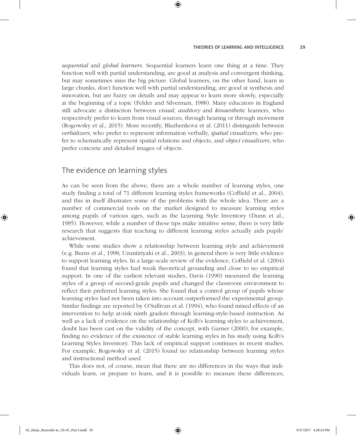*sequential* and *global learners*. Sequential learners learn one thing at a time. They function well with partial understanding, are good at analysis and convergent thinking, but may sometimes miss the big picture. Global learners, on the other hand, learn in large chunks, don't function well with partial understanding, are good at synthesis and innovation, but are fuzzy on details and may appear to learn more slowly, especially at the beginning of a topic (Felder and Silverman, 1988). Many educators in England still advocate a distinction between *visual*, *auditory* and *kinaesthetic* learners, who respectively prefer to learn from visual sources, through hearing or through movement (Rogowsky et al., 2015). More recently, Blazhenkova et al. (2011) distinguish between *verbalizers*, who prefer to represent information verbally, *spatial visualizers*, who prefer to schematically represent spatial relations and objects, and *object visualizers*, who prefer concrete and detailed images of objects.

⊕

#### The evidence on learning styles

As can be seen from the above, there are a whole number of learning styles, one study finding a total of 71 different learning styles frameworks (Coffield et al., 2004), and this in itself illustrates some of the problems with the whole idea. There are a number of commercial tools on the market designed to measure learning styles among pupils of various ages, such as the Learning Style Inventory (Dunn et al., 1985). However, while a number of these tips make intuitive sense, there is very little research that suggests that teaching to different learning styles actually aids pupils' achievement.

While some studies show a relationship between learning style and achievement (e.g. Burns et al., 1998; Uzuntiriyaki et al., 2003), in general there is very little evidence to support learning styles. In a large-scale review of the evidence, Coffield et al. (2004) found that learning styles had weak theoretical grounding and close to no empirical support. In one of the earliest relevant studies, Davis (1990) measured the learning styles of a group of second-grade pupils and changed the classroom environment to reflect their preferred learning styles. She found that a control group of pupils whose learning styles had not been taken into account outperformed the experimental group. Similar findings are reported by O'Sullivan et al. (1994), who found mixed effects of an intervention to help at-risk ninth graders through learning-style-based instruction. As well as a lack of evidence on the relationship of Kolb's learning styles to achievement, doubt has been cast on the validity of the concept, with Garner (2000), for example, finding no evidence of the existence of stable learning styles in his study using Kolb's Learning Styles Inventory. This lack of empirical support continues in recent studies. For example, Rogowsky et al. (2015) found no relationship between learning styles and instructional method used.

This does not, of course, mean that there are no differences in the ways that individuals learn, or prepare to learn, and it is possible to measure these differences,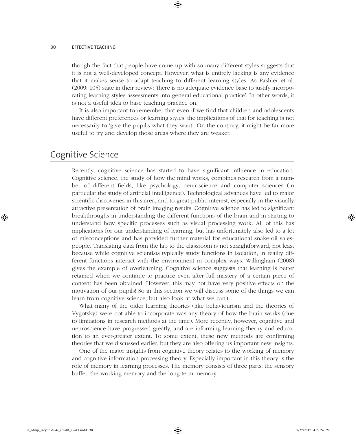though the fact that people have come up with so many different styles suggests that it is not a well-developed concept. However, what is entirely lacking is any evidence that it makes sense to adapt teaching to different learning styles. As Pashler et al. (2009: 105) state in their review: 'there is no adequate evidence base to justify incorporating learning styles assessments into general educational practice'. In other words, it is not a useful idea to base teaching practice on.

⊕

It is also important to remember that even if we find that children and adolescents have different preferences or learning styles, the implications of that for teaching is not necessarily to 'give the pupil's what they want'. On the contrary, it might be far more useful to try and develop those areas where they are weaker.

# Cognitive Science

♠

Recently, cognitive science has started to have significant influence in education. Cognitive science, the study of how the mind works, combines research from a number of different fields, like psychology, neuroscience and computer sciences (in particular the study of artificial intelligence). Technological advances have led to major scientific discoveries in this area, and to great public interest, especially in the visually attractive presentation of brain imaging results. Cognitive science has led to significant breakthroughs in understanding the different functions of the brain and in starting to understand how specific processes such as visual processing work. All of this has implications for our understanding of learning, but has unfortunately also led to a lot of misconceptions and has provided further material for educational snake-oil salespeople. Translating data from the lab to the classroom is not straightforward, not least because while cognitive scientists typically study functions in isolation, in reality different functions interact with the environment in complex ways. Willingham (2008) gives the example of overlearning. Cognitive science suggests that learning is better retained when we continue to practice even after full mastery of a certain piece of content has been obtained. However, this may not have very positive effects on the motivation of our pupils! So in this section we will discuss some of the things we can learn from cognitive science, but also look at what we can't.

What many of the older learning theories (like behaviourism and the theories of Vygotsky) were not able to incorporate was any theory of how the brain works (due to limitations in research methods at the time). More recently, however, cognitive and neuroscience have progressed greatly, and are informing learning theory and education to an ever-greater extent. To some extent, these new methods are confirming theories that we discussed earlier, but they are also offering us important new insights.

One of the major insights from cognitive theory relates to the working of memory and cognitive information processing theory. Especially important in this theory is the role of memory in learning processes. The memory consists of three parts: the sensory buffer, the working memory and the long-term memory.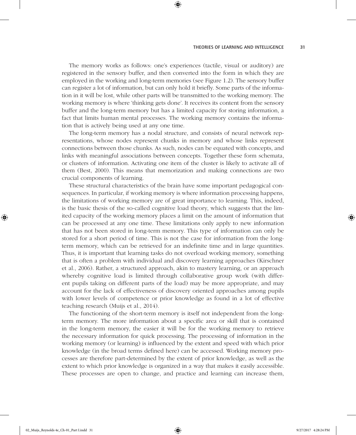The memory works as follows: one's experiences (tactile, visual or auditory) are registered in the sensory buffer, and then converted into the form in which they are employed in the working and long-term memories (see Figure 1.2). The sensory buffer can register a lot of information, but can only hold it briefly. Some parts of the information in it will be lost, while other parts will be transmitted to the working memory. The working memory is where 'thinking gets done'. It receives its content from the sensory buffer and the long-term memory but has a limited capacity for storing information, a fact that limits human mental processes. The working memory contains the information that is actively being used at any one time.

⊕

The long-term memory has a nodal structure, and consists of neural network representations, whose nodes represent chunks in memory and whose links represent connections between those chunks. As such, nodes can be equated with concepts, and links with meaningful associations between concepts. Together these form schemata, or clusters of information. Activating one item of the cluster is likely to activate all of them (Best, 2000). This means that memorization and making connections are two crucial components of learning.

These structural characteristics of the brain have some important pedagogical consequences. In particular, if working memory is where information processing happens, the limitations of working memory are of great importance to learning. This, indeed, is the basic thesis of the so-called cognitive load theory, which suggests that the limited capacity of the working memory places a limit on the amount of information that can be processed at any one time. These limitations only apply to new information that has not been stored in long-term memory. This type of information can only be stored for a short period of time. This is not the case for information from the longterm memory, which can be retrieved for an indefinite time and in large quantities. Thus, it is important that learning tasks do not overload working memory, something that is often a problem with individual and discovery learning approaches (Kirschner et al., 2006). Rather, a structured approach, akin to mastery learning, or an approach whereby cognitive load is limited through collaborative group work (with different pupils taking on different parts of the load) may be more appropriate, and may account for the lack of effectiveness of discovery oriented approaches among pupils with lower levels of competence or prior knowledge as found in a lot of effective teaching research (Muijs et al., 2014).

The functioning of the short-term memory is itself not independent from the longterm memory. The more information about a specific area or skill that is contained in the long-term memory, the easier it will be for the working memory to retrieve the necessary information for quick processing. The processing of information in the working memory (or learning) is influenced by the extent and speed with which prior knowledge (in the broad terms defined here) can be accessed. Working memory processes are therefore part-determined by the extent of prior knowledge, as well as the extent to which prior knowledge is organized in a way that makes it easily accessible. These processes are open to change, and practice and learning can increase them,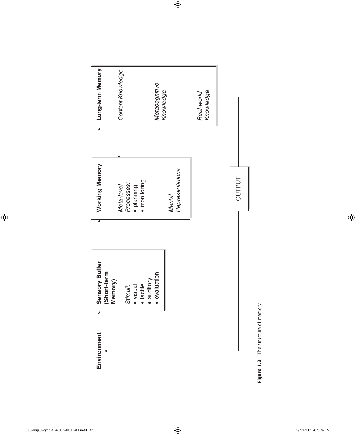

 $\bigoplus$ 

Figure 1.2 The structure of memory Figure 1.2 The structure of memory

 $\bigoplus$ 

 $\bigoplus$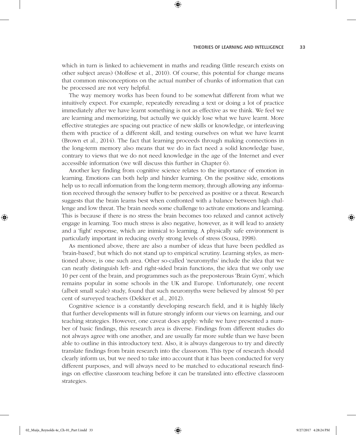which in turn is linked to achievement in maths and reading (little research exists on other subject areas) (Molfese et al., 2010). Of course, this potential for change means that common misconceptions on the actual number of chunks of information that can be processed are not very helpful.

⊕

The way memory works has been found to be somewhat different from what we intuitively expect. For example, repeatedly rereading a text or doing a lot of practice immediately after we have learnt something is not as effective as we think. We feel we are learning and memorizing, but actually we quickly lose what we have learnt. More effective strategies are spacing out practice of new skills or knowledge, or interleaving them with practice of a different skill, and testing ourselves on what we have learnt (Brown et al., 2014). The fact that learning proceeds through making connections in the long-term memory also means that we do in fact need a solid knowledge base, contrary to views that we do not need knowledge in the age of the Internet and ever accessible information (we will discuss this further in Chapter 6).

Another key finding from cognitive science relates to the importance of emotion in learning. Emotions can both help and hinder learning. On the positive side, emotions help us to recall information from the long-term memory, through allowing any information received through the sensory buffer to be perceived as positive or a threat. Research suggests that the brain learns best when confronted with a balance between high challenge and low threat. The brain needs some challenge to activate emotions and learning. This is because if there is no stress the brain becomes too relaxed and cannot actively engage in learning. Too much stress is also negative, however, as it will lead to anxiety and a 'fight' response, which are inimical to learning. A physically safe environment is particularly important in reducing overly strong levels of stress (Sousa, 1998).

As mentioned above, there are also a number of ideas that have been peddled as 'brain-based', but which do not stand up to empirical scrutiny. Learning styles, as mentioned above, is one such area. Other so-called 'neuromyths' include the idea that we can neatly distinguish left- and right-sided brain functions, the idea that we only use 10 per cent of the brain, and programmes such as the preposterous 'Brain Gym', which remains popular in some schools in the UK and Europe. Unfortunately, one recent (albeit small scale) study, found that such neuromyths were believed by almost 50 per cent of surveyed teachers (Dekker et al., 2012).

Cognitive science is a constantly developing research field, and it is highly likely that further developments will in future strongly inform our views on learning, and our teaching strategies. However, one caveat does apply: while we have presented a number of basic findings, this research area is diverse. Findings from different studies do not always agree with one another, and are usually far more subtle than we have been able to outline in this introductory text. Also, it is always dangerous to try and directly translate findings from brain research into the classroom. This type of research should clearly inform us, but we need to take into account that it has been conducted for very different purposes, and will always need to be matched to educational research findings on effective classroom teaching before it can be translated into effective classroom strategies.

02\_Muijs\_Reynolds 4e\_Ch-01\_Part I.indd 33 9/27/2017 4:28:24 PM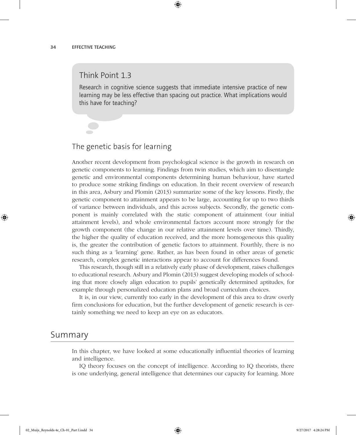#### Think Point 1.3

Research in cognitive science suggests that immediate intensive practice of new learning may be less effective than spacing out practice. What implications would this have for teaching?

⊕

# The genetic basis for learning

Another recent development from psychological science is the growth in research on genetic components to learning. Findings from twin studies, which aim to disentangle genetic and environmental components determining human behaviour, have started to produce some striking findings on education. In their recent overview of research in this area, Asbury and Plomin (2013) summarize some of the key lessons. Firstly, the genetic component to attainment appears to be large, accounting for up to two thirds of variance between individuals, and this across subjects. Secondly, the genetic component is mainly correlated with the static component of attainment (our initial attainment levels), and whole environmental factors account more strongly for the growth component (the change in our relative attainment levels over time). Thirdly, the higher the quality of education received, and the more homogeneous this quality is, the greater the contribution of genetic factors to attainment. Fourthly, there is no such thing as a 'learning' gene. Rather, as has been found in other areas of genetic research, complex genetic interactions appear to account for differences found.

This research, though still in a relatively early phase of development, raises challenges to educational research. Asbury and Plomin (2013) suggest developing models of schooling that more closely align education to pupils' genetically determined aptitudes, for example through personalized education plans and broad curriculum choices.

It is, in our view, currently too early in the development of this area to draw overly firm conclusions for education, but the further development of genetic research is certainly something we need to keep an eye on as educators.

# Summary

♠

In this chapter, we have looked at some educationally influential theories of learning and intelligence.

IQ theory focuses on the concept of intelligence. According to IQ theorists, there is one underlying, general intelligence that determines our capacity for learning. More